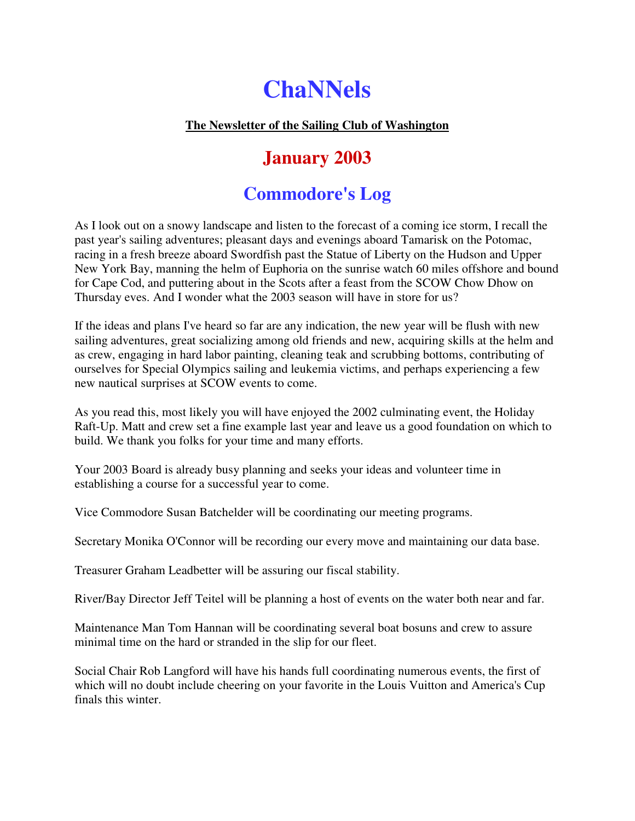# **ChaNNels**

### **The Newsletter of the Sailing Club of Washington**

# **January 2003**

# **Commodore's Log**

As I look out on a snowy landscape and listen to the forecast of a coming ice storm, I recall the past year's sailing adventures; pleasant days and evenings aboard Tamarisk on the Potomac, racing in a fresh breeze aboard Swordfish past the Statue of Liberty on the Hudson and Upper New York Bay, manning the helm of Euphoria on the sunrise watch 60 miles offshore and bound for Cape Cod, and puttering about in the Scots after a feast from the SCOW Chow Dhow on Thursday eves. And I wonder what the 2003 season will have in store for us?

If the ideas and plans I've heard so far are any indication, the new year will be flush with new sailing adventures, great socializing among old friends and new, acquiring skills at the helm and as crew, engaging in hard labor painting, cleaning teak and scrubbing bottoms, contributing of ourselves for Special Olympics sailing and leukemia victims, and perhaps experiencing a few new nautical surprises at SCOW events to come.

As you read this, most likely you will have enjoyed the 2002 culminating event, the Holiday Raft-Up. Matt and crew set a fine example last year and leave us a good foundation on which to build. We thank you folks for your time and many efforts.

Your 2003 Board is already busy planning and seeks your ideas and volunteer time in establishing a course for a successful year to come.

Vice Commodore Susan Batchelder will be coordinating our meeting programs.

Secretary Monika O'Connor will be recording our every move and maintaining our data base.

Treasurer Graham Leadbetter will be assuring our fiscal stability.

River/Bay Director Jeff Teitel will be planning a host of events on the water both near and far.

Maintenance Man Tom Hannan will be coordinating several boat bosuns and crew to assure minimal time on the hard or stranded in the slip for our fleet.

Social Chair Rob Langford will have his hands full coordinating numerous events, the first of which will no doubt include cheering on your favorite in the Louis Vuitton and America's Cup finals this winter.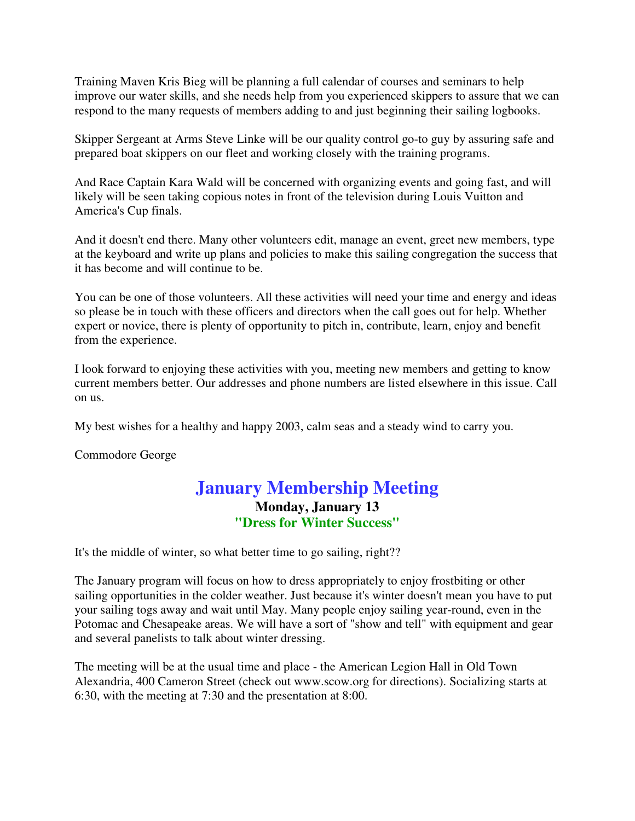Training Maven Kris Bieg will be planning a full calendar of courses and seminars to help improve our water skills, and she needs help from you experienced skippers to assure that we can respond to the many requests of members adding to and just beginning their sailing logbooks.

Skipper Sergeant at Arms Steve Linke will be our quality control go-to guy by assuring safe and prepared boat skippers on our fleet and working closely with the training programs.

And Race Captain Kara Wald will be concerned with organizing events and going fast, and will likely will be seen taking copious notes in front of the television during Louis Vuitton and America's Cup finals.

And it doesn't end there. Many other volunteers edit, manage an event, greet new members, type at the keyboard and write up plans and policies to make this sailing congregation the success that it has become and will continue to be.

You can be one of those volunteers. All these activities will need your time and energy and ideas so please be in touch with these officers and directors when the call goes out for help. Whether expert or novice, there is plenty of opportunity to pitch in, contribute, learn, enjoy and benefit from the experience.

I look forward to enjoying these activities with you, meeting new members and getting to know current members better. Our addresses and phone numbers are listed elsewhere in this issue. Call on us.

My best wishes for a healthy and happy 2003, calm seas and a steady wind to carry you.

Commodore George

### **January Membership Meeting Monday, January 13 "Dress for Winter Success"**

It's the middle of winter, so what better time to go sailing, right??

The January program will focus on how to dress appropriately to enjoy frostbiting or other sailing opportunities in the colder weather. Just because it's winter doesn't mean you have to put your sailing togs away and wait until May. Many people enjoy sailing year-round, even in the Potomac and Chesapeake areas. We will have a sort of "show and tell" with equipment and gear and several panelists to talk about winter dressing.

The meeting will be at the usual time and place - the American Legion Hall in Old Town Alexandria, 400 Cameron Street (check out www.scow.org for directions). Socializing starts at 6:30, with the meeting at 7:30 and the presentation at 8:00.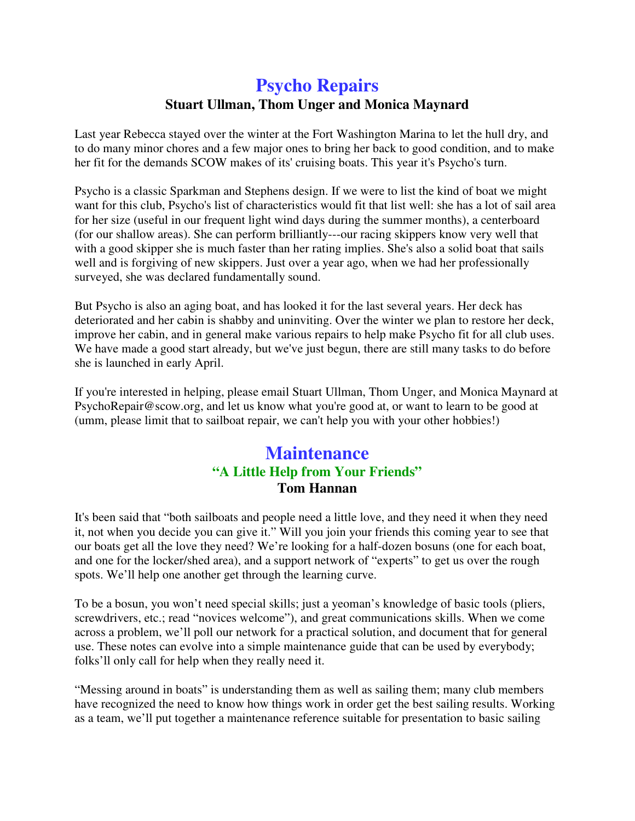### **Psycho Repairs Stuart Ullman, Thom Unger and Monica Maynard**

Last year Rebecca stayed over the winter at the Fort Washington Marina to let the hull dry, and to do many minor chores and a few major ones to bring her back to good condition, and to make her fit for the demands SCOW makes of its' cruising boats. This year it's Psycho's turn.

Psycho is a classic Sparkman and Stephens design. If we were to list the kind of boat we might want for this club, Psycho's list of characteristics would fit that list well: she has a lot of sail area for her size (useful in our frequent light wind days during the summer months), a centerboard (for our shallow areas). She can perform brilliantly---our racing skippers know very well that with a good skipper she is much faster than her rating implies. She's also a solid boat that sails well and is forgiving of new skippers. Just over a year ago, when we had her professionally surveyed, she was declared fundamentally sound.

But Psycho is also an aging boat, and has looked it for the last several years. Her deck has deteriorated and her cabin is shabby and uninviting. Over the winter we plan to restore her deck, improve her cabin, and in general make various repairs to help make Psycho fit for all club uses. We have made a good start already, but we've just begun, there are still many tasks to do before she is launched in early April.

If you're interested in helping, please email Stuart Ullman, Thom Unger, and Monica Maynard at PsychoRepair@scow.org, and let us know what you're good at, or want to learn to be good at (umm, please limit that to sailboat repair, we can't help you with your other hobbies!)

### **Maintenance "A Little Help from Your Friends" Tom Hannan**

It's been said that "both sailboats and people need a little love, and they need it when they need it, not when you decide you can give it." Will you join your friends this coming year to see that our boats get all the love they need? We're looking for a half-dozen bosuns (one for each boat, and one for the locker/shed area), and a support network of "experts" to get us over the rough spots. We'll help one another get through the learning curve.

To be a bosun, you won't need special skills; just a yeoman's knowledge of basic tools (pliers, screwdrivers, etc.; read "novices welcome"), and great communications skills. When we come across a problem, we'll poll our network for a practical solution, and document that for general use. These notes can evolve into a simple maintenance guide that can be used by everybody; folks'll only call for help when they really need it.

"Messing around in boats" is understanding them as well as sailing them; many club members have recognized the need to know how things work in order get the best sailing results. Working as a team, we'll put together a maintenance reference suitable for presentation to basic sailing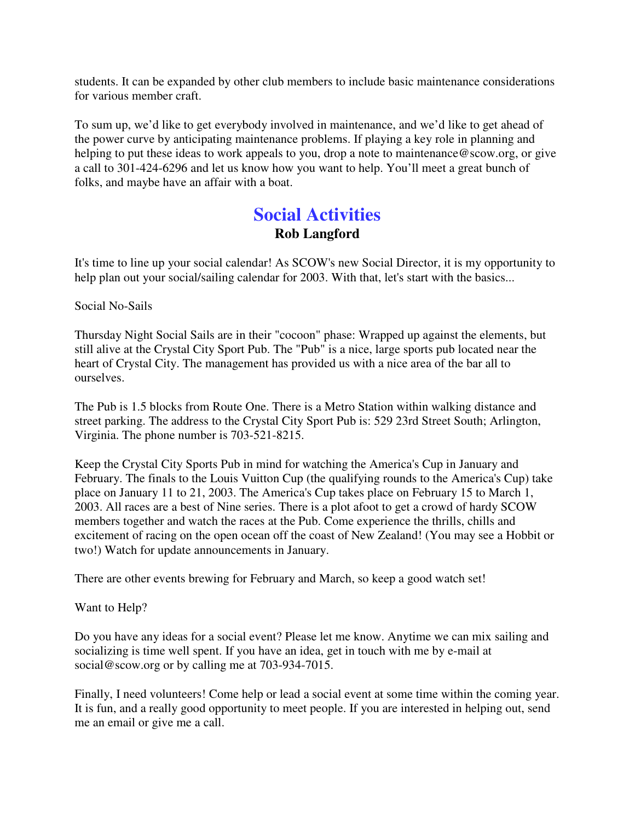students. It can be expanded by other club members to include basic maintenance considerations for various member craft.

To sum up, we'd like to get everybody involved in maintenance, and we'd like to get ahead of the power curve by anticipating maintenance problems. If playing a key role in planning and helping to put these ideas to work appeals to you, drop a note to maintenance@scow.org, or give a call to 301-424-6296 and let us know how you want to help. You'll meet a great bunch of folks, and maybe have an affair with a boat.

### **Social Activities Rob Langford**

It's time to line up your social calendar! As SCOW's new Social Director, it is my opportunity to help plan out your social/sailing calendar for 2003. With that, let's start with the basics...

Social No-Sails

Thursday Night Social Sails are in their "cocoon" phase: Wrapped up against the elements, but still alive at the Crystal City Sport Pub. The "Pub" is a nice, large sports pub located near the heart of Crystal City. The management has provided us with a nice area of the bar all to ourselves.

The Pub is 1.5 blocks from Route One. There is a Metro Station within walking distance and street parking. The address to the Crystal City Sport Pub is: 529 23rd Street South; Arlington, Virginia. The phone number is 703-521-8215.

Keep the Crystal City Sports Pub in mind for watching the America's Cup in January and February. The finals to the Louis Vuitton Cup (the qualifying rounds to the America's Cup) take place on January 11 to 21, 2003. The America's Cup takes place on February 15 to March 1, 2003. All races are a best of Nine series. There is a plot afoot to get a crowd of hardy SCOW members together and watch the races at the Pub. Come experience the thrills, chills and excitement of racing on the open ocean off the coast of New Zealand! (You may see a Hobbit or two!) Watch for update announcements in January.

There are other events brewing for February and March, so keep a good watch set!

Want to Help?

Do you have any ideas for a social event? Please let me know. Anytime we can mix sailing and socializing is time well spent. If you have an idea, get in touch with me by e-mail at social@scow.org or by calling me at 703-934-7015.

Finally, I need volunteers! Come help or lead a social event at some time within the coming year. It is fun, and a really good opportunity to meet people. If you are interested in helping out, send me an email or give me a call.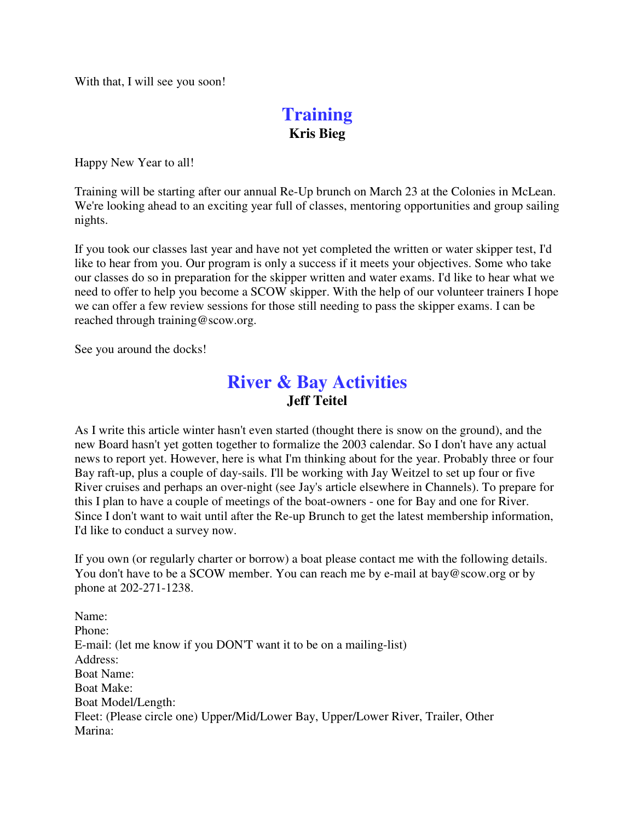With that, I will see you soon!

### **Training Kris Bieg**

Happy New Year to all!

Training will be starting after our annual Re-Up brunch on March 23 at the Colonies in McLean. We're looking ahead to an exciting year full of classes, mentoring opportunities and group sailing nights.

If you took our classes last year and have not yet completed the written or water skipper test, I'd like to hear from you. Our program is only a success if it meets your objectives. Some who take our classes do so in preparation for the skipper written and water exams. I'd like to hear what we need to offer to help you become a SCOW skipper. With the help of our volunteer trainers I hope we can offer a few review sessions for those still needing to pass the skipper exams. I can be reached through training@scow.org.

See you around the docks!

### **River & Bay Activities Jeff Teitel**

As I write this article winter hasn't even started (thought there is snow on the ground), and the new Board hasn't yet gotten together to formalize the 2003 calendar. So I don't have any actual news to report yet. However, here is what I'm thinking about for the year. Probably three or four Bay raft-up, plus a couple of day-sails. I'll be working with Jay Weitzel to set up four or five River cruises and perhaps an over-night (see Jay's article elsewhere in Channels). To prepare for this I plan to have a couple of meetings of the boat-owners - one for Bay and one for River. Since I don't want to wait until after the Re-up Brunch to get the latest membership information, I'd like to conduct a survey now.

If you own (or regularly charter or borrow) a boat please contact me with the following details. You don't have to be a SCOW member. You can reach me by e-mail at bay@scow.org or by phone at 202-271-1238.

Name: Phone: E-mail: (let me know if you DON'T want it to be on a mailing-list) Address: Boat Name: Boat Make: Boat Model/Length: Fleet: (Please circle one) Upper/Mid/Lower Bay, Upper/Lower River, Trailer, Other Marina: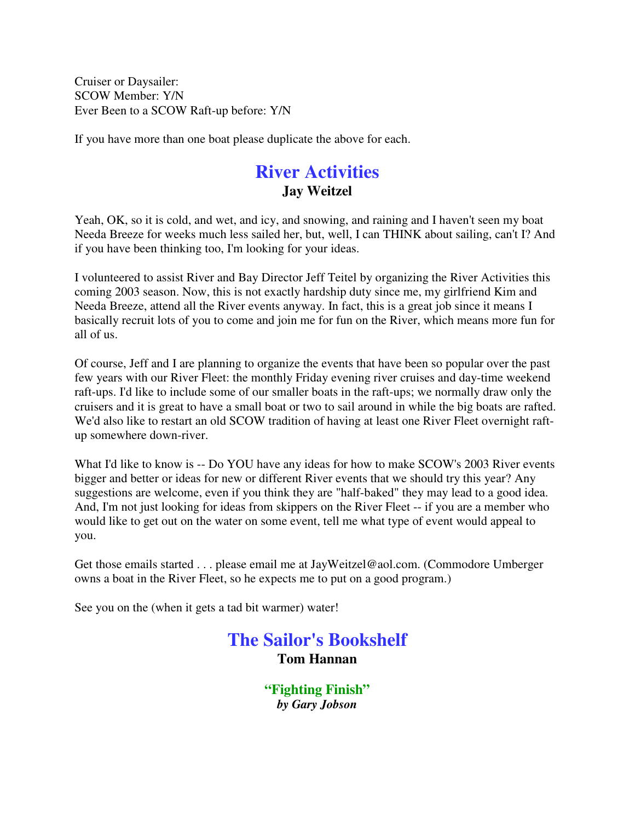Cruiser or Daysailer: SCOW Member: Y/N Ever Been to a SCOW Raft-up before: Y/N

If you have more than one boat please duplicate the above for each.

### **River Activities Jay Weitzel**

Yeah, OK, so it is cold, and wet, and icy, and snowing, and raining and I haven't seen my boat Needa Breeze for weeks much less sailed her, but, well, I can THINK about sailing, can't I? And if you have been thinking too, I'm looking for your ideas.

I volunteered to assist River and Bay Director Jeff Teitel by organizing the River Activities this coming 2003 season. Now, this is not exactly hardship duty since me, my girlfriend Kim and Needa Breeze, attend all the River events anyway. In fact, this is a great job since it means I basically recruit lots of you to come and join me for fun on the River, which means more fun for all of us.

Of course, Jeff and I are planning to organize the events that have been so popular over the past few years with our River Fleet: the monthly Friday evening river cruises and day-time weekend raft-ups. I'd like to include some of our smaller boats in the raft-ups; we normally draw only the cruisers and it is great to have a small boat or two to sail around in while the big boats are rafted. We'd also like to restart an old SCOW tradition of having at least one River Fleet overnight raftup somewhere down-river.

What I'd like to know is -- Do YOU have any ideas for how to make SCOW's 2003 River events bigger and better or ideas for new or different River events that we should try this year? Any suggestions are welcome, even if you think they are "half-baked" they may lead to a good idea. And, I'm not just looking for ideas from skippers on the River Fleet -- if you are a member who would like to get out on the water on some event, tell me what type of event would appeal to you.

Get those emails started . . . please email me at JayWeitzel@aol.com. (Commodore Umberger owns a boat in the River Fleet, so he expects me to put on a good program.)

See you on the (when it gets a tad bit warmer) water!

### **The Sailor's Bookshelf Tom Hannan**

**"Fighting Finish"** *by Gary Jobson*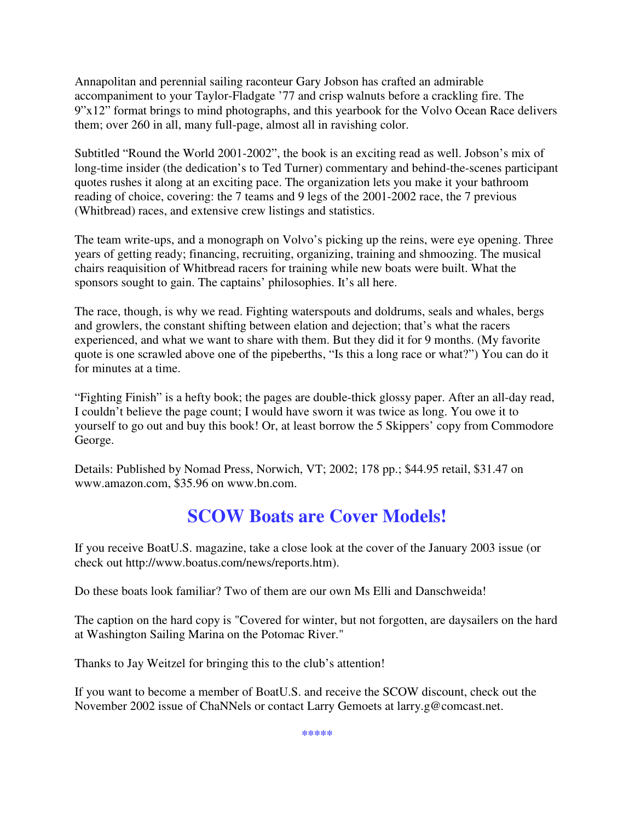Annapolitan and perennial sailing raconteur Gary Jobson has crafted an admirable accompaniment to your Taylor-Fladgate '77 and crisp walnuts before a crackling fire. The 9"x12" format brings to mind photographs, and this yearbook for the Volvo Ocean Race delivers them; over 260 in all, many full-page, almost all in ravishing color.

Subtitled "Round the World 2001-2002", the book is an exciting read as well. Jobson's mix of long-time insider (the dedication's to Ted Turner) commentary and behind-the-scenes participant quotes rushes it along at an exciting pace. The organization lets you make it your bathroom reading of choice, covering: the 7 teams and 9 legs of the 2001-2002 race, the 7 previous (Whitbread) races, and extensive crew listings and statistics.

The team write-ups, and a monograph on Volvo's picking up the reins, were eye opening. Three years of getting ready; financing, recruiting, organizing, training and shmoozing. The musical chairs reaquisition of Whitbread racers for training while new boats were built. What the sponsors sought to gain. The captains' philosophies. It's all here.

The race, though, is why we read. Fighting waterspouts and doldrums, seals and whales, bergs and growlers, the constant shifting between elation and dejection; that's what the racers experienced, and what we want to share with them. But they did it for 9 months. (My favorite quote is one scrawled above one of the pipeberths, "Is this a long race or what?") You can do it for minutes at a time.

"Fighting Finish" is a hefty book; the pages are double-thick glossy paper. After an all-day read, I couldn't believe the page count; I would have sworn it was twice as long. You owe it to yourself to go out and buy this book! Or, at least borrow the 5 Skippers' copy from Commodore George.

Details: Published by Nomad Press, Norwich, VT; 2002; 178 pp.; \$44.95 retail, \$31.47 on www.amazon.com, \$35.96 on www.bn.com.

# **SCOW Boats are Cover Models!**

If you receive BoatU.S. magazine, take a close look at the cover of the January 2003 issue (or check out http://www.boatus.com/news/reports.htm).

Do these boats look familiar? Two of them are our own Ms Elli and Danschweida!

The caption on the hard copy is "Covered for winter, but not forgotten, are daysailers on the hard at Washington Sailing Marina on the Potomac River."

Thanks to Jay Weitzel for bringing this to the club's attention!

If you want to become a member of BoatU.S. and receive the SCOW discount, check out the November 2002 issue of ChaNNels or contact Larry Gemoets at larry.g@comcast.net.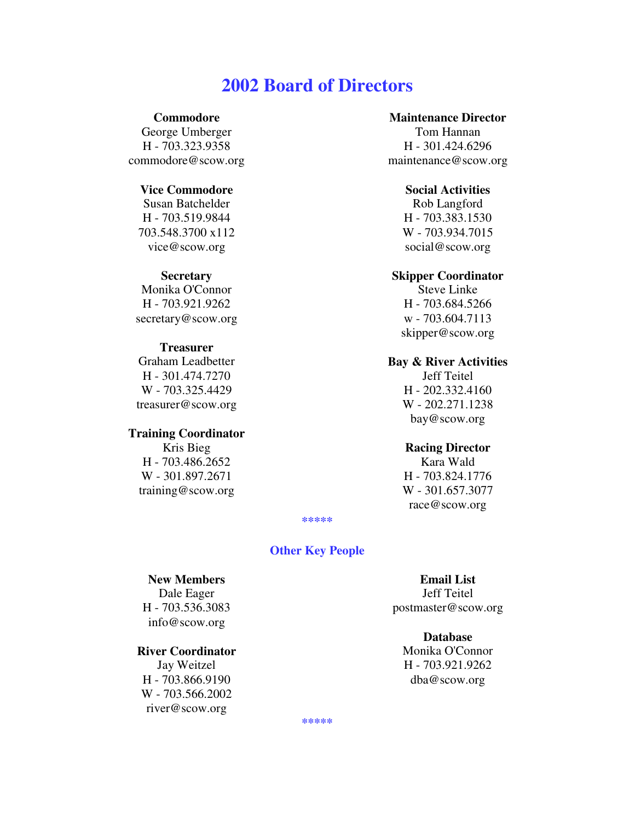### **2002 Board of Directors**

#### **Commodore**

George Umberger H - 703.323.9358 commodore@scow.org

#### **Vice Commodore**

Susan Batchelder H - 703.519.9844 703.548.3700 x112 vice@scow.org

#### **Secretary**

Monika O'Connor H - 703.921.9262 secretary@scow.org

#### **Treasurer**

Graham Leadbetter H - 301.474.7270 W - 703.325.4429 treasurer@scow.org

#### **Training Coordinator**

Kris Bieg H - 703.486.2652 W - 301.897.2671 training@scow.org

#### **Maintenance Director**

Tom Hannan H - 301.424.6296 maintenance@scow.org

#### **Social Activities**

Rob Langford H - 703.383.1530 W - 703.934.7015 social@scow.org

#### **Skipper Coordinator**

Steve Linke H - 703.684.5266 w - 703.604.7113 skipper@scow.org

#### **Bay & River Activities** Jeff Teitel

H - 202.332.4160 W - 202.271.1238 bay@scow.org

#### **Racing Director**

Kara Wald H - 703.824.1776 W - 301.657.3077 race@scow.org

**\*\*\*\*\***

#### **Other Key People**

#### **New Members**

Dale Eager H - 703.536.3083 info@scow.org

#### **River Coordinator**

Jay Weitzel H - 703.866.9190 W - 703.566.2002 river@scow.org

**Email List** Jeff Teitel postmaster@scow.org

#### **Database**

Monika O'Connor H - 703.921.9262 dba@scow.org

**\*\*\*\*\***